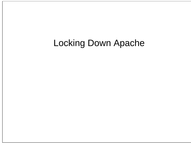#### Locking Down Apache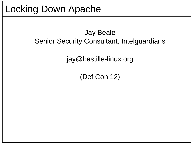#### Locking Down Apache

#### Jay Beale Senior Security Consultant, Intelguardians

jay@bastille-linux.org

(Def Con 12)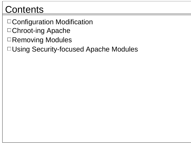#### **Contents**

- Configuration Modification
- □ Chroot-ing Apache
- □Removing Modules
- Using Security-focused Apache Modules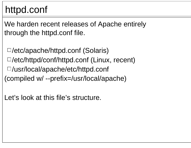#### httpd.conf

We harden recent releases of Apache entirely through the httpd.conf file.

/etc/apache/httpd.conf (Solaris) /etc/httpd/conf/httpd.conf (Linux, recent) /usr/local/apache/etc/httpd.conf (compiled w/ --prefix=/usr/local/apache)

Let's look at this file's structure.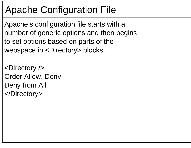#### Apache Configuration File

Apache's configuration file starts with a number of generic options and then begins to set options based on parts of the webspace in <Directory> blocks.

<Directory /> Order Allow, Deny Deny from All </Directory>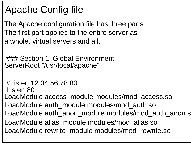#### Apache Config file

The Apache configuration file has three parts. The first part applies to the entire server as a whole, virtual servers and all.

### Section 1: Global Environment ServerRoot "/usr/local/apache"

```
#Listen 12.34.56.78:80Listen 80LoadModule access_module modules/mod_access.so
LoadModule auth_module modules/mod_auth.so
LoadModule auth anon module modules/mod auth anon.s
...
LoadModule alias_module modules/mod_alias.so
LoadModule rewrite module modules/mod rewrite.so
```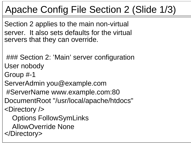#### Apache Config File Section 2 (Slide 1/3)

Section 2 applies to the main non-virtual server. It also sets defaults for the virtual servers that they can override.

### Section 2: 'Main' server configuration User nobody

Group #-1

ServerAdmin you@example.com

#ServerName www.example.com:80

DocumentRoot "/usr/local/apache/htdocs"

<Directory />

Options FollowSymLinks

AllowOverride None

</Directory>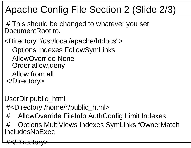### Apache Config File Section 2 (Slide 2/3)

# This should be changed to whatever you set DocumentRoot to.

<Directory "/usr/local/apache/htdocs"> Options Indexes FollowSymLinks AllowOverride NoneOrder allow,deny Allow from all </Directory>

UserDir public\_html #<Directory /home/\*/public\_html>

# AllowOverride FileInfo AuthConfig Limit Indexes

# Options MultiViews Indexes SymLinksIfOwnerMatch IncludesNoExec

#</Directory>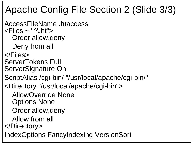#### Apache Config File Section 2 (Slide 3/3)

AccessFileName .htaccess $\langle$ Files  $\sim$  "^\.ht" $>$ Order allow,deny Deny from all </Files>ServerTokens Full ServerSignature On ScriptAlias /cgi-bin/ "/usr/local/apache/cgi-bin/" <Directory "/usr/local/apache/cgi-bin"> AllowOverride NoneOptions None Order allow,deny Allow from all </Directory> IndexOptions FancyIndexing VersionSort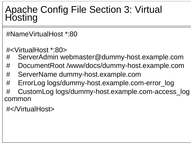# Apache Config File Section 3: Virtual Hosting

#NameVirtualHost \*:80

#<VirtualHost \*:80>

- # ServerAdmin webmaster@dummy-host.example.com
- # DocumentRoot /www/docs/dummy-host.example.com
- # ServerName dummy-host.example.com
- # ErrorLog logs/dummy-host.example.com-error\_log
- # CustomLog logs/dummy-host.example.com-access\_log common

#</VirtualHost>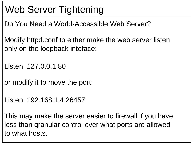#### Web Server Tightening

Do You Need a World-Accessible Web Server?

Modify httpd.conf to either make the web server listen only on the loopback inteface:

Listen 127.0.0.1:80

or modify it to move the port:

Listen 192.168.1.4:26457

This may make the server easier to firewall if you have less than granular control over what ports are allowed to what hosts.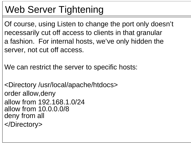#### Web Server Tightening

Of course, using Listen to change the port only doesn't necessarily cut off access to clients in that granular a fashion. For internal hosts, we've only hidden the server, not cut off access.

We can restrict the server to specific hosts:

<Directory /usr/local/apache/htdocs> order allow,deny allow from 192.168.1.0/24allow from 10.0.0.0/8deny from all </Directory>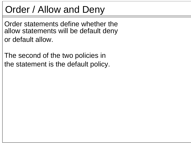#### Order / Allow and Deny

Order statements define whether theallow statements will be default deny or default allow.

The second of the two policies in the statement is the default policy.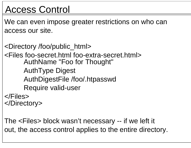#### Access Control

We can even impose greater restrictions on who can access our site.

<Directory /foo/public\_html> <Files foo-secret.html foo-extra-secret.html>AuthName "Foo for Thought" AuthType Digest AuthDigestFile /foo/.htpasswd Require valid-user </Files></Directory>

The <Files> block wasn't necessary -- if we left it out, the access control applies to the entire directory.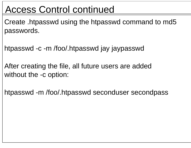#### Access Control continued

Create .htpasswd using the htpasswd command to md5 passwords.

htpasswd -c -m /foo/.htpasswd jay jaypasswd

After creating the file, all future users are added without the -c option:

htpasswd -m /foo/.htpasswd seconduser secondpass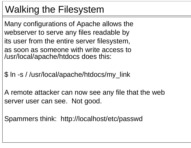#### Walking the Filesystem

Many configurations of Apache allows the webserver to serve any files readable by its user from the entire server filesystem, as soon as someone with write access to/usr/local/apache/htdocs does this:

\$ ln -s / /usr/local/apache/htdocs/my\_link

A remote attacker can now see any file that the web server user can see. Not good.

Spammers think: http://localhost/etc/passwd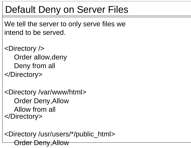#### Default Deny on Server Files

We tell the server to only serve files we intend to be served.

<Directory /> Order allow,deny Deny from all </Directory>

<Directory /var/www/html> Order Deny,Allow Allow from all </Directory>

<Directory /usr/users/\*/public\_html> Order Deny,Allow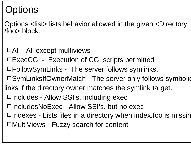#### Options

Options <list> lists behavior allowed in the given <Directory /foo> block.

- $\Box$ All All except multiviews
- ExecCGI Execution of CGI scripts permitted
- FollowSymLinks The server follows symlinks.
- □ SymLinksIfOwnerMatch The server only follows symbolic
- links if the directory owner matches the symlink target.
	- □Includes Allow SSI's, including exec
	- IncludesNoExec Allow SSI's, but no exec
	- $\Box$ Indexes Lists files in a directory when index.foo is missing
	- MultiViews Fuzzy search for content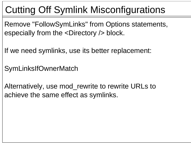#### Cutting Off Symlink Misconfigurations

Remove "FollowSymLinks" from Options statements, especially from the <Directory /> block.

If we need symlinks, use its better replacement:

SymLinksIfOwnerMatch

Alternatively, use mod\_rewrite to rewrite URLs to achieve the same effect as symlinks.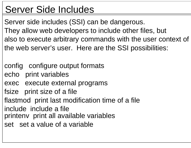#### Server Side Includes

Server side includes (SSI) can be dangerous. They allow web developers to include other files, but also to execute arbitrary commands with the user context of the web server's user. Here are the SSI possibilities:

- config configure output formats
- echo print variables
- exec execute external programs
- fsize print size of a file
- flastmod print last modification time of a file
- include include a file
- printenv print all available variables
- set set a value of a variable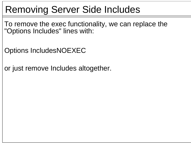#### Removing Server Side Includes

To remove the exec functionality, we can replace the "Options Includes" lines with:

Options IncludesNOEXEC

or just remove Includes altogether.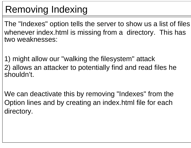#### Removing Indexing

The "Indexes" option tells the server to show us a list of files whenever index.html is missing from a directory. This has two weaknesses:

1) might allow our "walking the filesystem" attack 2) allows an attacker to potentially find and read files he shouldn't.

We can deactivate this by removing "Indexes" from the Option lines and by creating an index.html file for each directory.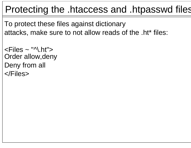#### Protecting the .htaccess and .htpasswd files

To protect these files against dictionary attacks, make sure to not allow reads of the .ht\* files:

```
\langleFiles \sim "\land, ht">Order allow,deny
Deny from all
</Files>
```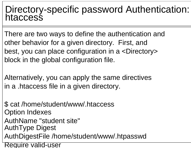# Directory-specific password Authentication: htaccess

There are two ways to define the authentication and other behavior for a given directory. First, and best, you can place configuration in a <Directory> block in the global configuration file.

Alternatively, you can apply the same directives in a .htaccess file in a given directory.

\$ cat /home/student/www/.htaccess Option Indexes AuthName "student site" AuthType Digest AuthDigestFile /home/student/www/.htpasswd Require valid-user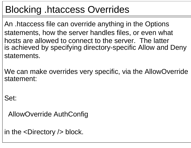#### Blocking .htaccess Overrides

An .htaccess file can override anything in the Options statements, how the server handles files, or even what hosts are allowed to connect to the server. The latter is achieved by specifying directory-specific Allow and Deny statements.

We can make overrides very specific, via the AllowOverride statement:

Set:

AllowOverride AuthConfig

in the <Directory /> block.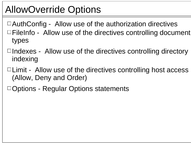#### AllowOverride Options

- $\Box$  AuthConfig Allow use of the authorization directives
- $\Box$  FileInfo Allow use of the directives controlling document types
- $\Box$ Indexes Allow use of the directives controlling directory indexing
- $\Box$  Limit Allow use of the directives controlling host access (Allow, Deny and Order)
- $\Box$  Options Regular Options statements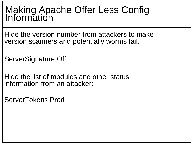## Making Apache Offer Less Config Information

Hide the version number from attackers to make version scanners and potentially worms fail.

ServerSignature Off

Hide the list of modules and other status information from an attacker:

ServerTokens Prod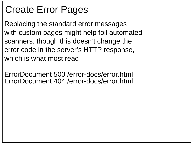#### Create Error Pages

Replacing the standard error messages with custom pages might help foil automated scanners, though this doesn't change the error code in the server's HTTP response, which is what most read.

ErrorDocument 500 /error-docs/error.html ErrorDocument 404 /error-docs/error.html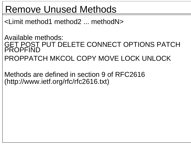#### Remove Unused Methods

<Limit method1 method2 ... methodN>

Available methods: GET POST PUT DELETE CONNECT OPTIONS PATCH<br>PROPFIND PROPPATCH MKCOL COPY MOVE LOCK UNLOCK

Methods are defined in section 9 of RFC2616 (http://www.ietf.org/rfc/rfc2616.txt)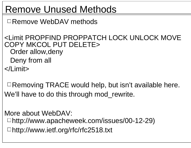#### Remove Unused Methods

Remove WebDAV methods

<Limit PROPFIND PROPPATCH LOCK UNLOCK MOVE COPY MKCOL PUT DELETE>Order allow,deny Deny from all </Limit>

 $\Box$  Removing TRACE would help, but isn't available here. We'll have to do this through mod rewrite.

More about WebDAV: http://www.apacheweek.com/issues/00-12-29) http://www.ietf.org/rfc/rfc2518.txt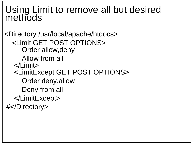## Using Limit to remove all but desired methods

```
<Directory /usr/local/apache/htdocs>
  <Limit GET POST OPTIONS>Order allow,deny
     Allow from all
  </Limit><LimitExcept GET POST OPTIONS>
     Order deny,allow
     Deny from all
  </LimitExcept>
#</Directory>
```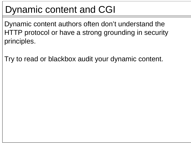#### Dynamic content and CGI

Dynamic content authors often don't understand the HTTP protocol or have a strong grounding in security principles.

Try to read or blackbox audit your dynamic content.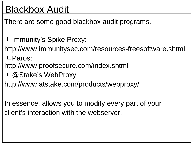#### Blackbox Audit

There are some good blackbox audit programs.

□Immunity's Spike Proxy:

http://www.immunitysec.com/resources-freesoftware.shtml

□Paros:

http://www.proofsecure.com/index.shtml

□ @ Stake's WebProxy

http://www.atstake.com/products/webproxy/

In essence, allows you to modify every part of your client's interaction with the webserver.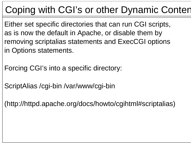#### Coping with CGI's or other Dynamic Content

Either set specific directories that can run CGI scripts, as is now the default in Apache, or disable them by removing scriptalias statements and ExecCGI options in Options statements.

Forcing CGI's into a specific directory:

ScriptAlias /cgi-bin /var/www/cgi-bin

(http://httpd.apache.org/docs/howto/cgihtml#scriptalias)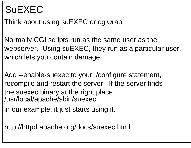#### **SUEXEC**

Think about using suEXEC or cgiwrap!

Normally CGI scripts run as the same user as the webserver. Using suEXEC, they run as a particular user, which lets you contain damage.

Add --enable-suexec to your ./configure statement, recompile and restart the server. If the server finds the suexec binary at the right place, /usr/local/apache/sbin/suexec

in our example, it just starts using it.

http://httpd.apache.org/docs/suexec.html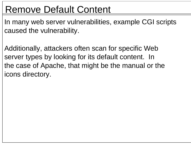#### Remove Default Content

In many web server vulnerabilities, example CGI scripts caused the vulnerability.

Additionally, attackers often scan for specific Web server types by looking for its default content. In the case of Apache, that might be the manual or the icons directory.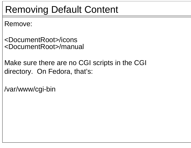# Removing Default Content

Remove:

- <DocumentRoot>/icons <DocumentRoot>/manual
- Make sure there are no CGI scripts in the CGI directory. On Fedora, that's:

/var/www/cgi-bin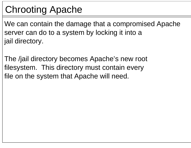# Chrooting Apache

We can contain the damage that a compromised Apache server can do to a system by locking it into a jail directory.

The /jail directory becomes Apache's new root filesystem. This directory must contain every file on the system that Apache will need.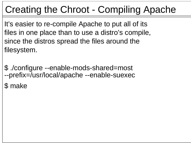# Creating the Chroot - Compiling Apache

It's easier to re-compile Apache to put all of its files in one place than to use a distro's compile, since the distros spread the files around the filesystem.

\$ ./configure --enable-mods-shared=most --prefix=/usr/local/apache --enable-suexec

\$ make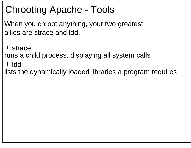# Chrooting Apache - Tools

When you chroot anything, your two greatest allies are strace and ldd.

 $\Box$ strace

runs a child process, displaying all system calls

ldd

lists the dynamically loaded libraries a program requires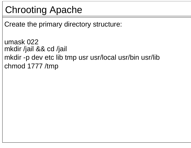# Chrooting Apache

Create the primary directory structure:

umask 022mkdir /jail && cd /jail mkdir -p dev etc lib tmp usr usr/local usr/bin usr/lib chmod 1777 /tmp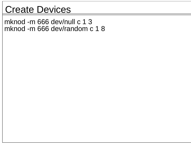#### Create Devices

mknod -m 666 dev/null c 1 3 mknod -m 666 dev/random c 1 8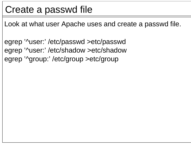#### Create a passwd file

Look at what user Apache uses and create a passwd file.

egrep '^user:' /etc/passwd >etc/passwd egrep '^user:' /etc/shadow >etc/shadow egrep '^group:' /etc/group >etc/group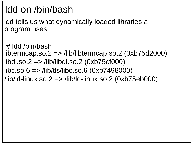#### ldd on /bin/bash

ldd tells us what dynamically loaded libraries a program uses.

# ldd /bin/bashlibtermcap.so.2 => /lib/libtermcap.so.2 (0xb75d2000) libdl.so.2 => /lib/libdl.so.2 (0xb75cf000)  $libc.so.6 \implies /lib/tls/libc.so.6 (0xb7498000)$ /lib/ld-linux.so.2 => /lib/ld-linux.so.2 (0xb75eb000)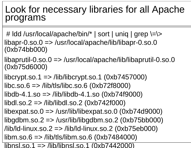#### Look for necessary libraries for all Apache programs

- # ldd /usr/local/apache/bin/\* | sort | uniq | grep \=\> libapr-0.so.0 => /usr/local/apache/lib/libapr-0.so.0 (0xb74bb000)
- libaprutil-0.so.0 => /usr/local/apache/lib/libaprutil-0.so.0 (0xb75d6000)
- libcrypt.so.1  $\Rightarrow$  /lib/libcrypt.so.1 (0xb7457000)  $libc.so.6 \implies lib/tls/libc.so.6 (0xb72f8000)$  $libdb-4.1.$ so  $\Longrightarrow$  /lib/libdb-4.1.so (0xb74f9000) libdl.so.2 => /lib/libdl.so.2 (0xb742f000) libexpat.so.0 => /usr/lib/libexpat.so.0 (0xb74d9000) libgdbm.so.2 => /usr/lib/libgdbm.so.2 (0xb75bb000)  $\langle$ lib/ld-linux.so.2 => /lib/ld-linux.so.2 (0xb75eb000) libm.so.6 => /lib/tls/libm.so.6 (0xb7484000)
- libnsl.so.1 => /lib/libnsl.so.1 (0xb7442000)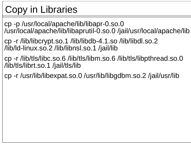# Copy in Libraries

cp -p /usr/local/apache/lib/libapr-0.so.0 /usr/local/apache/lib/libaprutil-0.so.0 /jail/usr/local/apache/lib

cp -r /lib/libcrypt.so.1 /lib/libdb-4.1.so /lib/libdl.so.2 /lib/ld-linux.so.2 /lib/libnsl.so.1 /jail/lib

cp -r /lib/tls/libc.so.6 /lib/tls/libm.so.6 /lib/tls/libpthread.so.0 /lib/tls/librt.so.1 /jail/tls/lib

cp -r /usr/lib/libexpat.so.0 /usr/lib/libgdbm.so.2 /jail/usr/lib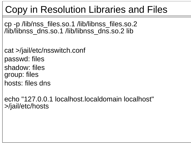# Copy in Resolution Libraries and Files

cp -p /lib/nss\_files.so.1 /lib/libnss\_files.so.2 /lib/libnss\_dns.so.1 /lib/libnss\_dns.so.2 lib

cat >/jail/etc/nsswitch.conf passwd: files shadow: filesgroup: files hosts: files dns

echo "127.0.0.1 localhost.localdomain localhost" >/jail/etc/hosts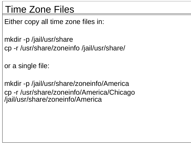#### Time Zone Files

Either copy all time zone files in:

mkdir -p /jail/usr/share cp -r /usr/share/zoneinfo /jail/usr/share/

or a single file:

mkdir -p /jail/usr/share/zoneinfo/America cp -r /usr/share/zoneinfo/America/Chicago /jail/usr/share/zoneinfo/America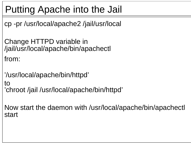# Putting Apache into the Jail

cp -pr /usr/local/apache2 /jail/usr/local

Change HTTPD variable in /jail/usr/local/apache/bin/apachectl

from:

'/usr/local/apache/bin/httpd' to 'chroot /jail /usr/local/apache/bin/httpd'

Now start the daemon with /usr/local/apache/bin/apachectl start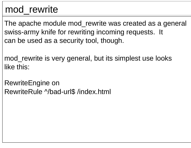#### mod\_rewrite

The apache module mod\_rewrite was created as a general swiss-army knife for rewriting incoming requests. It can be used as a security tool, though.

mod\_rewrite is very general, but its simplest use looks like this:

RewriteEngine on RewriteRule ^/bad-url\$ /index.html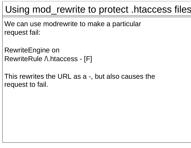#### Using mod\_rewrite to protect .htaccess files

We can use modrewrite to make a particular request fail:

RewriteEngine on RewriteRule A.htaccess - [F]

This rewrites the URL as a -, but also causes the request to fail.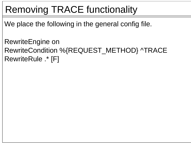# Removing TRACE functionality

We place the following in the general config file.

RewriteEngine on RewriteCondition %{REQUEST\_METHOD} ^TRACE RewriteRule .\* [F]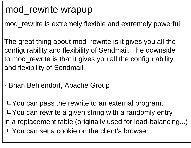#### mod\_rewrite wrapup

mod\_rewrite is extremely flexible and extremely powerful.

The great thing about mod\_rewrite is it gives you all the configurability and flexibility of Sendmail. The downside to mod\_rewrite is that it gives you all the configurability and flexibility of Sendmail.'

- Brian Behlendorf, Apache Group

 $\Box$  You can pass the rewrite to an external program.  $\Box$  You can rewrite a given string with a randomly entry in a replacement table (originally used for load-balancing...)  $\Box$  You can set a cookie on the client's browser.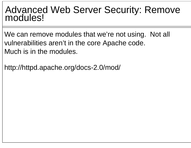# Advanced Web Server Security: Remove modules!

We can remove modules that we're not using. Not all vulnerabilities aren't in the core Apache code. Much is in the modules.

http://httpd.apache.org/docs-2.0/mod/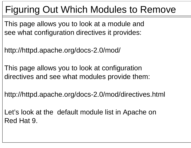# Figuring Out Which Modules to Remove

This page allows you to look at a module and see what configuration directives it provides:

http://httpd.apache.org/docs-2.0/mod/

This page allows you to look at configuration directives and see what modules provide them:

http://httpd.apache.org/docs-2.0/mod/directives.html

Let's look at the default module list in Apache on Red Hat 9.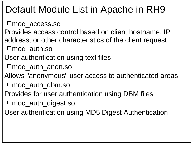- mod\_access.so
- Provides access control based on client hostname, IP address, or other characteristics of the client request.
- mod\_auth.so
- User authentication using text files
- □mod\_auth\_anon.so
- Allows "anonymous" user access to authenticated areas
- mod\_auth\_dbm.so
- Provides for user authentication using DBM files
- mod\_auth\_digest.so
- User authentication using MD5 Digest Authentication.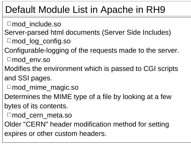- □mod\_include.so
- Server-parsed html documents (Server Side Includes) mod\_log\_config.so
- Configurable-logging of the requests made to the server.
- mod\_env.so
- Modifies the environment which is passed to CGI scripts and SSI pages.
- mod\_mime\_magic.so
- Determines the MIME type of a file by looking at a few
- bytes of its contents.
- mod\_cern\_meta.so
- Older "CERN" header modification method for setting expires or other custom headers.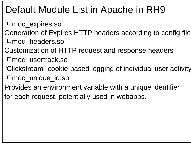- mod\_expires.so
- Generation of Expires HTTP headers according to config file. mod\_headers.so
- Customization of HTTP request and response headers
- mod\_usertrack.so
- "Clickstream" cookie-based logging of individual user activity.
- mod\_unique\_id.so
- Provides an environment variable with a unique identifier
- for each request, potentially used in webapps.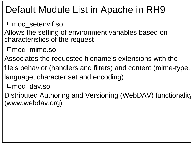- □ mod setenvif.so
- Allows the setting of environment variables based on characteristics of the request
- $\Box$ mod mime.so
- Associates the requested filename's extensions with the
- file's behavior (handlers and filters) and content (mime-type,
- language, character set and encoding)
- $\Box$ mod dav.so
- Distributed Authoring and Versioning (WebDAV) functionality (www.webdav.org)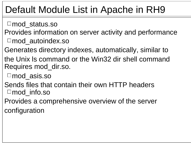- mod\_status.so
- Provides information on server activity and performance mod\_autoindex.so
- Generates directory indexes, automatically, similar to
- the Unix ls command or the Win32 dir shell commandRequires mod\_dir.so.
- mod\_asis.so
- Sends files that contain their own HTTP headers  $\Box$ mod info.so
- Provides a comprehensive overview of the server configuration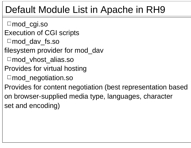mod\_cgi.so Execution of CGI scripts mod\_dav\_fs.so filesystem provider for mod\_dav □mod vhost alias.so Provides for virtual hosting □ mod\_negotiation.so Provides for content negotiation (best representation based on browser-supplied media type, languages, character set and encoding)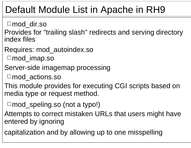mod\_dir.so

Provides for "trailing slash" redirects and serving directory index files

Requires: mod\_autoindex.so

□mod\_imap.so

Server-side imagemap processing

□mod actions.so

This module provides for executing CGI scripts based on media type or request method.

 $\Box$ mod\_speling.so (not a typo!)

Attempts to correct mistaken URLs that users might have entered by ignoring

capitalization and by allowing up to one misspelling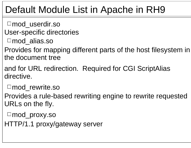- □mod userdir.so
- User-specific directories
- □mod alias.so
- Provides for mapping different parts of the host filesystem in the document tree
- and for URL redirection. Required for CGI ScriptAlias directive.
- □ mod\_rewrite.so
- Provides a rule-based rewriting engine to rewrite requested URLs on the fly.
	- mod\_proxy.so
- HTTP/1.1 proxy/gateway server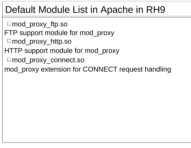- mod\_proxy\_ftp.so
- FTP support module for mod\_proxy
- mod\_proxy\_http.so
- HTTP support module for mod\_proxy
- mod\_proxy\_connect.so
- mod\_proxy extension for CONNECT request handling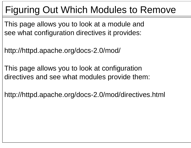# Figuring Out Which Modules to Remove

This page allows you to look at a module and see what configuration directives it provides:

http://httpd.apache.org/docs-2.0/mod/

This page allows you to look at configuration directives and see what modules provide them:

http://httpd.apache.org/docs-2.0/mod/directives.html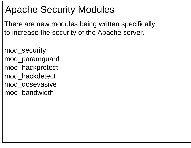## Apache Security Modules

There are new modules being written specifically to increase the security of the Apache server.

mod\_security mod\_paramguard mod\_hackprotect mod\_hackdetect mod\_dosevasive mod\_bandwidth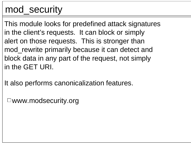#### mod\_security

This module looks for predefined attack signatures in the client's requests. It can block or simply alert on those requests. This is stronger than mod\_rewrite primarily because it can detect and block data in any part of the request, not simply in the GET URI.

It also performs canonicalization features.

 $\Box$ www.modsecurity.org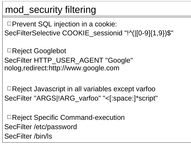# mod\_security filtering

 $\Box$  Prevent SQL injection in a cookie: SecFilterSelective COOKIE\_sessionid "!^(|[0-9]{1,9})\$"

Reject Googlebot SecFilter HTTP\_USER\_AGENT "Google" nolog,redirect:http://www.google.com

Reject Javascript in all variables except varfoo SecFilter "ARGS|!ARG\_varfoo" "<[:space:]\*script"

Reject Specific Command-execution SecFilter /etc/password SecFilter /bin/ls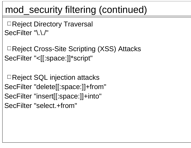#### mod\_security filtering (continued)

□Reject Directory Traversal SecFilter "\.\./"

Reject Cross-Site Scripting (XSS) Attacks SecFilter "<[[:space:]]\*script"

Reject SQL injection attacks SecFilter "delete[[:space:]]+from" SecFilter "insert[[:space:]]+into" SecFilter "select.+from"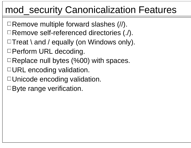#### mod\_security Canonicalization Features

- $\Box$  Remove multiple forward slashes  $\langle \rangle$ .
- Remove self-referenced directories (./).
- $\Box$  Treat \ and / equally (on Windows only).
- □ Perform URL decoding.
- $\Box$  Replace null bytes (%00) with spaces.
- $\Box$  URL encoding validation.
- Unicode encoding validation.
- □Byte range verification.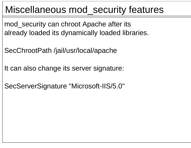#### Miscellaneous mod\_security features

mod security can chroot Apache after its already loaded its dynamically loaded libraries.

SecChrootPath /jail/usr/local/apache

It can also change its server signature:

SecServerSignature "Microsoft-IIS/5.0"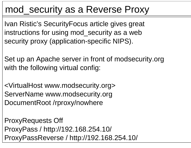#### mod\_security as a Reverse Proxy

Ivan Ristic's SecurityFocus article gives great instructions for using mod\_security as a web security proxy (application-specific NIPS).

Set up an Apache server in front of modsecurity.org with the following virtual config:

<VirtualHost www.modsecurity.org> ServerName www.modsecurity.org DocumentRoot /rproxy/nowhere

ProxyRequests Off ProxyPass / http://192.168.254.10/ ProxyPassReverse / http://192.168.254.10/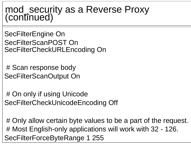## mod\_security as a Reverse Proxy (continued)

SecFilterEngine On SecFilterScanPOST OnSecFilterCheckURLEncoding On

# Scan response body SecFilterScanOutput On

# On only if using Unicode SecFilterCheckUnicodeEncoding Off

# Only allow certain byte values to be a part of the request. # Most English-only applications will work with 32 - 126. SecFilterForceByteRange 1 255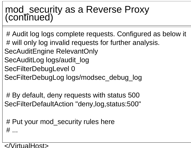# mod\_security as a Reverse Proxy (continued)

# Audit log logs complete requests. Configured as below it # will only log invalid requests for further analysis. SecAuditEngine RelevantOnly SecAuditLog logs/audit\_log SecFilterDebugLevel 0 SecFilterDebugLog logs/modsec\_debug\_log

# By default, deny requests with status 500 SecFilterDefaultAction "deny,log,status:500"

# Put your mod\_security rules here  $#$  ...

</VirtualHost>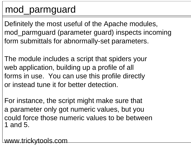#### mod\_parmguard

Definitely the most useful of the Apache modules, mod\_parmguard (parameter guard) inspects incoming form submittals for abnormally-set parameters.

The module includes a script that spiders your web application, building up a profile of all forms in use. You can use this profile directly or instead tune it for better detection.

For instance, the script might make sure that a parameter only got numeric values, but you could force those numeric values to be between1 and 5.

www.trickytools.com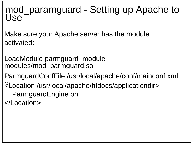## mod\_paramguard - Setting up Apache to<br>Use

Make sure your Apache server has the module activated:

LoadModule parmguard\_module modules/mod\_parmguard.so

ParmguardConfFile /usr/local/apache/conf/mainconf.xml

... <Location /usr/local/apache/htdocs/applicationdir>

ParmguardEngine on

</Location>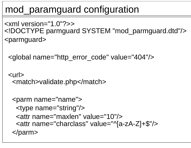### mod\_paramguard configuration

 $\le$  xml version="1.0"?>> <!DOCTYPE parmguard SYSTEM "mod\_parmguard.dtd"/> <parmguard>

```
<global name="http_error_code" value="404"/>
```
<url><match>validate.php</match>

```
<parm name="name">
 <type name="string"/>
 <attr name="maxlen" value="10"/><attr name="charclass" value="^[a-zA-Z]+$"/>
</parm>
```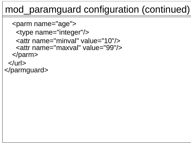#### mod\_paramguard configuration (continued)

```
<parm name="age">
   <type name="integer"/>
   <attr name="minval" value="10"/><attr name="maxval" value="99"/></parm>
 \langleurl></parmguard>
```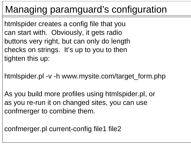## Managing paramguard's configuration

htmlspider creates a config file that you can start with. Obviously, it gets radio buttons very right, but can only do length checks on strings. It's up to you to then tighten this up:

htmlspider.pl -v -h www.mysite.com/target\_form.php

As you build more profiles using htmlspider.pl, or as you re-run it on changed sites, you can use confmerger to combine them.

confmerger.pl current-config file1 file2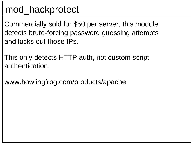#### mod\_hackprotect

Commercially sold for \$50 per server, this module detects brute-forcing password guessing attempts and locks out those IPs.

This only detects HTTP auth, not custom script authentication.

www.howlingfrog.com/products/apache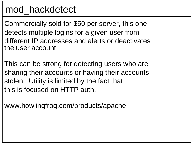#### mod\_hackdetect

Commercially sold for \$50 per server, this one detects multiple logins for a given user from different IP addresses and alerts or deactivatesthe user account.

This can be strong for detecting users who are sharing their accounts or having their accounts stolen. Utility is limited by the fact that this is focused on HTTP auth.

www.howlingfrog.com/products/apache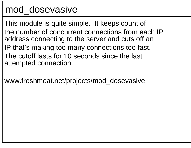#### mod\_dosevasive

This module is quite simple. It keeps count of the number of concurrent connections from each IPaddress connecting to the server and cuts off an IP that's making too many connections too fast. The cutoff lasts for 10 seconds since the last attempted connection.

www.freshmeat.net/projects/mod\_dosevasive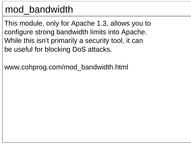#### mod\_bandwidth

This module, only for Apache 1.3, allows you to configure strong bandwidth limits into Apache. While this isn't primarily a security tool, it can be useful for blocking DoS attacks.

www.cohprog.com/mod\_bandwidth.html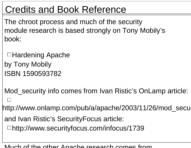## Credits and Book Reference

The chroot process and much of the security module research is based strongly on Tony Mobily's book:

Hardening Apache by Tony Mobily ISBN 1590593782

Mod\_security info comes from Ivan Ristic's OnLamp article: http://www.onlamp.com/pub/a/apache/2003/11/26/mod\_secu and Ivan Ristic's SecurityFocus article: http://www.securityfocus.com/infocus/1739